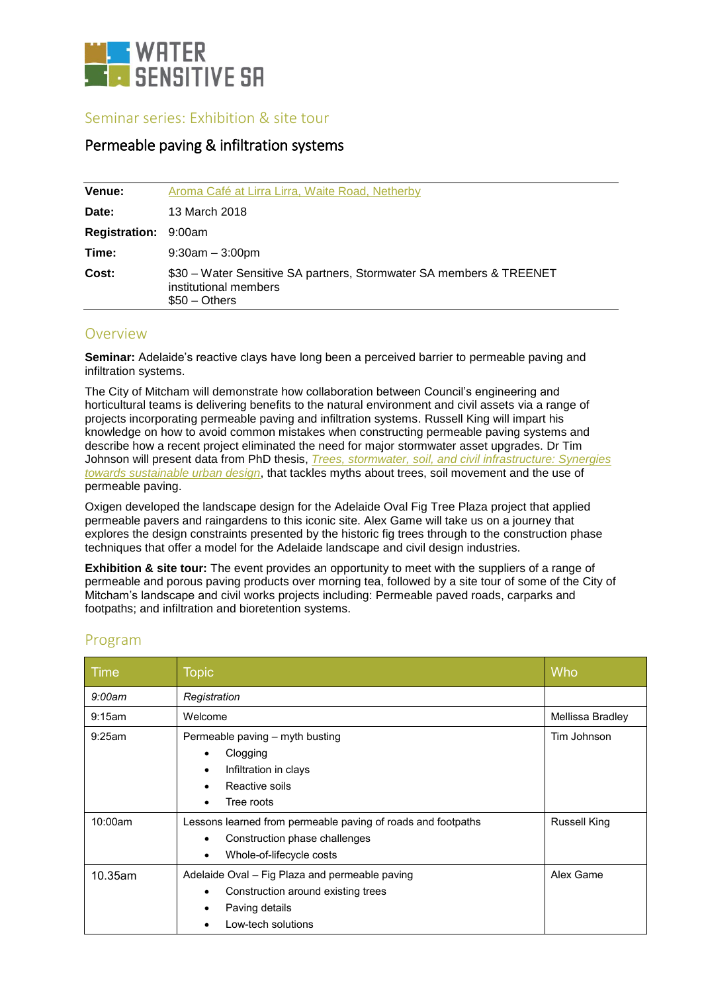

#### Seminar series: Exhibition & site tour

### Permeable paving & infiltration systems

| Venue:                      | Aroma Café at Lirra Lirra, Waite Road, Netherby                                                                |
|-----------------------------|----------------------------------------------------------------------------------------------------------------|
| Date:                       | 13 March 2018                                                                                                  |
| <b>Registration: 9:00am</b> |                                                                                                                |
| Time:                       | $9:30am - 3:00pm$                                                                                              |
| Cost:                       | \$30 – Water Sensitive SA partners, Stormwater SA members & TREENET<br>institutional members<br>$$50 - Others$ |

#### Overview

**Seminar:** Adelaide's reactive clays have long been a perceived barrier to permeable paving and infiltration systems.

The City of Mitcham will demonstrate how collaboration between Council's engineering and horticultural teams is delivering benefits to the natural environment and civil assets via a range of projects incorporating permeable paving and infiltration systems. Russell King will impart his knowledge on how to avoid common mistakes when constructing permeable paving systems and describe how a recent project eliminated the need for major stormwater asset upgrades. Dr Tim Johnson will present data from PhD thesis, *[Trees, stormwater, soil, and civil infrastructure: Synergies](http://search.ror.unisa.edu.au/record/UNISA_ALMA11149739760001831/media/digital/open/9916160511701831/12149739750001831/13149739740001831/pdf)  [towards sustainable urban design](http://search.ror.unisa.edu.au/record/UNISA_ALMA11149739760001831/media/digital/open/9916160511701831/12149739750001831/13149739740001831/pdf)*, that tackles myths about trees, soil movement and the use of permeable paving.

Oxigen developed the landscape design for the Adelaide Oval Fig Tree Plaza project that applied permeable pavers and raingardens to this iconic site. Alex Game will take us on a journey that explores the design constraints presented by the historic fig trees through to the construction phase techniques that offer a model for the Adelaide landscape and civil design industries.

**Exhibition & site tour:** The event provides an opportunity to meet with the suppliers of a range of permeable and porous paving products over morning tea, followed by a site tour of some of the City of Mitcham's landscape and civil works projects including: Permeable paved roads, carparks and footpaths; and infiltration and bioretention systems.

| Time    | <b>Topic</b>                                                                                                                                        | Who                 |
|---------|-----------------------------------------------------------------------------------------------------------------------------------------------------|---------------------|
| 9:00am  | Registration                                                                                                                                        |                     |
| 9:15am  | Welcome                                                                                                                                             | Mellissa Bradley    |
| 9:25am  | Permeable paving - myth busting<br>Clogging<br>$\bullet$<br>Infiltration in clays<br>$\bullet$<br>Reactive soils<br>Tree roots<br>$\bullet$         | Tim Johnson         |
| 10:00am | Lessons learned from permeable paving of roads and footpaths<br>Construction phase challenges<br>$\bullet$<br>Whole-of-lifecycle costs<br>$\bullet$ | <b>Russell King</b> |
| 10.35am | Adelaide Oval - Fig Plaza and permeable paving<br>Construction around existing trees<br>$\bullet$<br>Paving details<br>Low-tech solutions           | Alex Game           |

## Program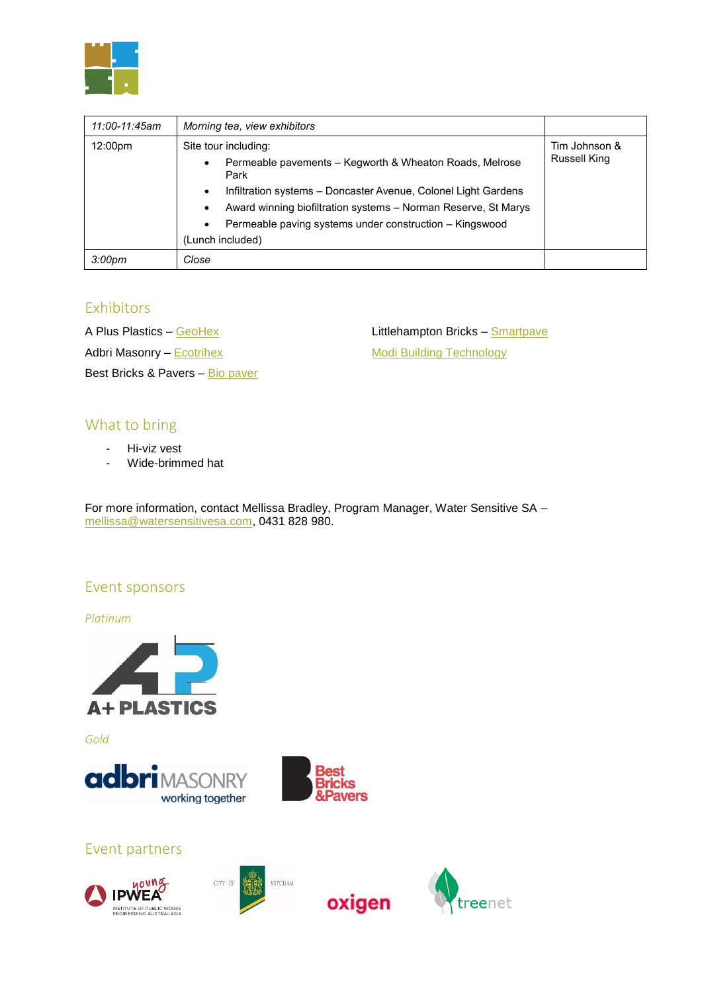

| 11:00-11:45am      | Morning tea, view exhibitors                                                                                                                                                                                                                                                                                                              |                               |
|--------------------|-------------------------------------------------------------------------------------------------------------------------------------------------------------------------------------------------------------------------------------------------------------------------------------------------------------------------------------------|-------------------------------|
| 12:00pm            | Site tour including:<br>Permeable pavements – Kegworth & Wheaton Roads, Melrose<br>$\bullet$<br>Park<br>Infiltration systems – Doncaster Avenue, Colonel Light Gardens<br>$\bullet$<br>Award winning biofiltration systems - Norman Reserve, St Marys<br>٠<br>Permeable paving systems under construction - Kingswood<br>(Lunch included) | Tim Johnson &<br>Russell King |
| 3:00 <sub>pm</sub> | Close                                                                                                                                                                                                                                                                                                                                     |                               |

## **Exhibitors**

A Plus Plastics – [GeoHex](http://aplusplastics.com.au/our-products/geohex/about-geohex) Adbri Masonry - [Ecotrihex](http://www.adbrimasonry.com.au/commercials/paving/permeable-paving) Best Bricks & Pavers – Bio [paver](https://www.bestgroup.com.au/products/traditional/permeable-pavers) Littlehampton Bricks - [Smartpave](http://littlehamptonbrick.com.au/permeable-paving-system-adelaide-australia/) [Modi Building Technology](http://modibuildingtechnology.com.au/)

# What to bring

- Hi-viz vest
- Wide-brimmed hat

For more information, contact Mellissa Bradley, Program Manager, Water Sensitive SA – [mellissa@watersensitivesa.com,](mailto:mellissa@watersensitivesa.com) 0431 828 980.

## Event sponsors

*Platinum*



*Gold*





oxigen

## Event partners